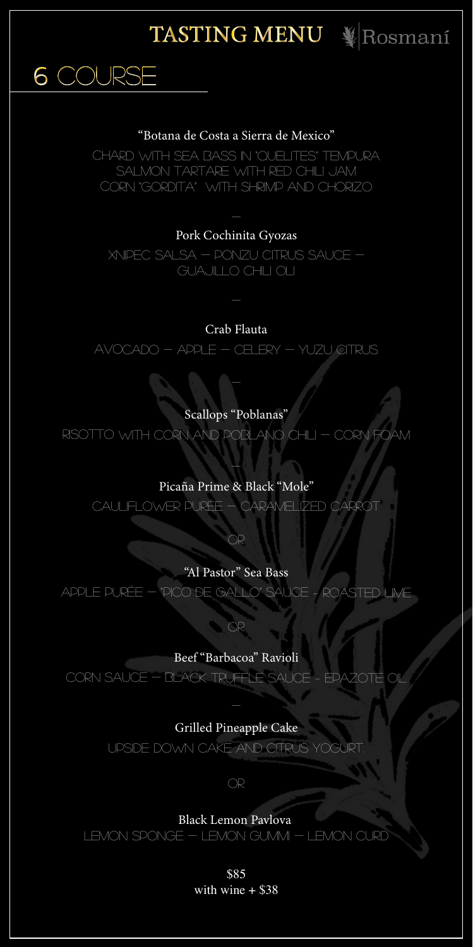

#### "Botana de Costa a Sierra de Mexico"

6 COURSE

CHARD WITH SEA BASS IN "QUELITES" TEMPURA SALMON TARTARE WITH RED CHILI JAM CORN "GORDITA" WITH SHRIMP AND CHORIZO

# Pork Cochinita Gyozas

XNIPEC SALSA - PONZU CITRUS SAUCE -GUAJILLO CHILI OLI

# Crab Flauta

 $AVOCADO - APPLE - CELERY - YUZU CITRUS$ 

# Scallops "Poblanas"

RISOTTO WITH CORN AND POBLANO CHILI - CORN FOAM

#### Picaña Prime & Black "Mole"

CAULIFI OWER PURÉE - CARAMEI IZED CARROT

OR

### "Al Pastor" Sea Bass

APPLE PURÉE – "PICO DE GALLO" SAUCE - ROASTED LIME

# $OR$

Beef "Barbacoa" Ravioli CORN SAUCE - BLACK TRUFFLE SAUCE - EPAZOTE OIL

# Grilled Pineapple Cake

UPSIDE DOWN CAKE AND CITRUS YOGURT



# **Black Lemon Pavlova** LEMON SPONGE - LEMON GUMMI - LEMON CURD

\$85 with wine  $+$  \$38